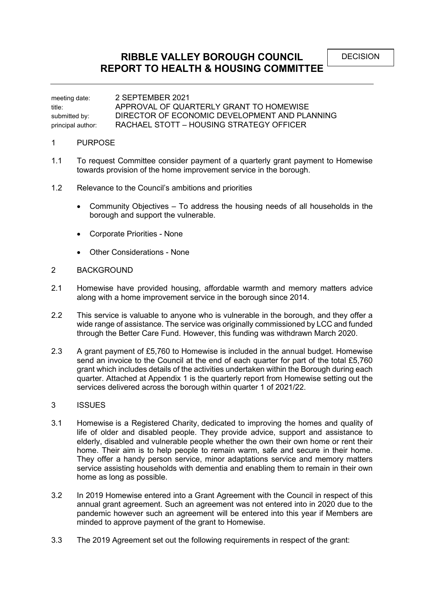meeting date: 2 SEPTEMBER 2021 title: APPROVAL OF QUARTERLY GRANT TO HOMEWISE submitted by: DIRECTOR OF ECONOMIC DEVELOPMENT AND PLANNING principal author: RACHAEL STOTT – HOUSING STRATEGY OFFICER

## 1 PURPOSE

- 1.1 To request Committee consider payment of a quarterly grant payment to Homewise towards provision of the home improvement service in the borough.
- 1.2 Relevance to the Council's ambitions and priorities
	- Community Objectives To address the housing needs of all households in the borough and support the vulnerable.
	- Corporate Priorities None
	- Other Considerations None

## 2 BACKGROUND

- 2.1 Homewise have provided housing, affordable warmth and memory matters advice along with a home improvement service in the borough since 2014.
- 2.2 This service is valuable to anyone who is vulnerable in the borough, and they offer a wide range of assistance. The service was originally commissioned by LCC and funded through the Better Care Fund. However, this funding was withdrawn March 2020.
- 2.3 A grant payment of £5,760 to Homewise is included in the annual budget. Homewise send an invoice to the Council at the end of each quarter for part of the total £5,760 grant which includes details of the activities undertaken within the Borough during each quarter. Attached at Appendix 1 is the quarterly report from Homewise setting out the services delivered across the borough within quarter 1 of 2021/22.

## 3 ISSUES

- 3.1 Homewise is a Registered Charity, dedicated to improving the homes and quality of life of older and disabled people. They provide advice, support and assistance to elderly, disabled and vulnerable people whether the own their own home or rent their home. Their aim is to help people to remain warm, safe and secure in their home. They offer a handy person service, minor adaptations service and memory matters service assisting households with dementia and enabling them to remain in their own home as long as possible.
- 3.2 In 2019 Homewise entered into a Grant Agreement with the Council in respect of this annual grant agreement. Such an agreement was not entered into in 2020 due to the pandemic however such an agreement will be entered into this year if Members are minded to approve payment of the grant to Homewise.
- 3.3 The 2019 Agreement set out the following requirements in respect of the grant: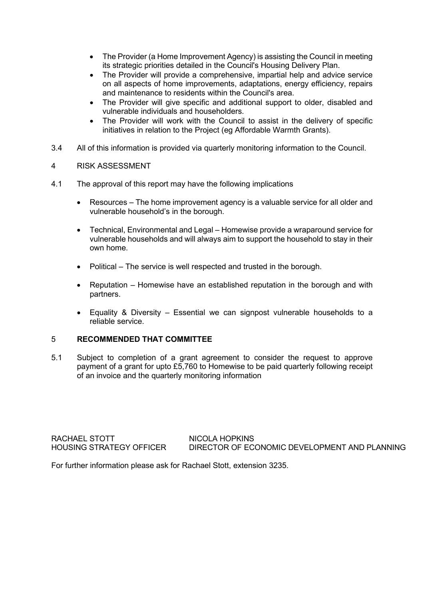- The Provider (a Home Improvement Agency) is assisting the Council in meeting its strategic priorities detailed in the Council's Housing Delivery Plan.
- The Provider will provide a comprehensive, impartial help and advice service on all aspects of home improvements, adaptations, energy efficiency, repairs and maintenance to residents within the Council's area.
- The Provider will give specific and additional support to older, disabled and vulnerable individuals and householders.
- The Provider will work with the Council to assist in the delivery of specific initiatives in relation to the Project (eg Affordable Warmth Grants).
- 3.4 All of this information is provided via quarterly monitoring information to the Council.
- 4 RISK ASSESSMENT
- 4.1 The approval of this report may have the following implications
	- Resources The home improvement agency is a valuable service for all older and vulnerable household's in the borough.
	- Technical, Environmental and Legal Homewise provide a wraparound service for vulnerable households and will always aim to support the household to stay in their own home.
	- Political The service is well respected and trusted in the borough.
	- Reputation Homewise have an established reputation in the borough and with partners.
	- Equality & Diversity Essential we can signpost vulnerable households to a reliable service.

## 5 **RECOMMENDED THAT COMMITTEE**

5.1 Subject to completion of a grant agreement to consider the request to approve payment of a grant for upto £5,760 to Homewise to be paid quarterly following receipt of an invoice and the quarterly monitoring information

RACHAEL STOTT NICOLA HOPKINS

HOUSING STRATEGY OFFICER DIRECTOR OF ECONOMIC DEVELOPMENT AND PLANNING

For further information please ask for Rachael Stott, extension 3235.